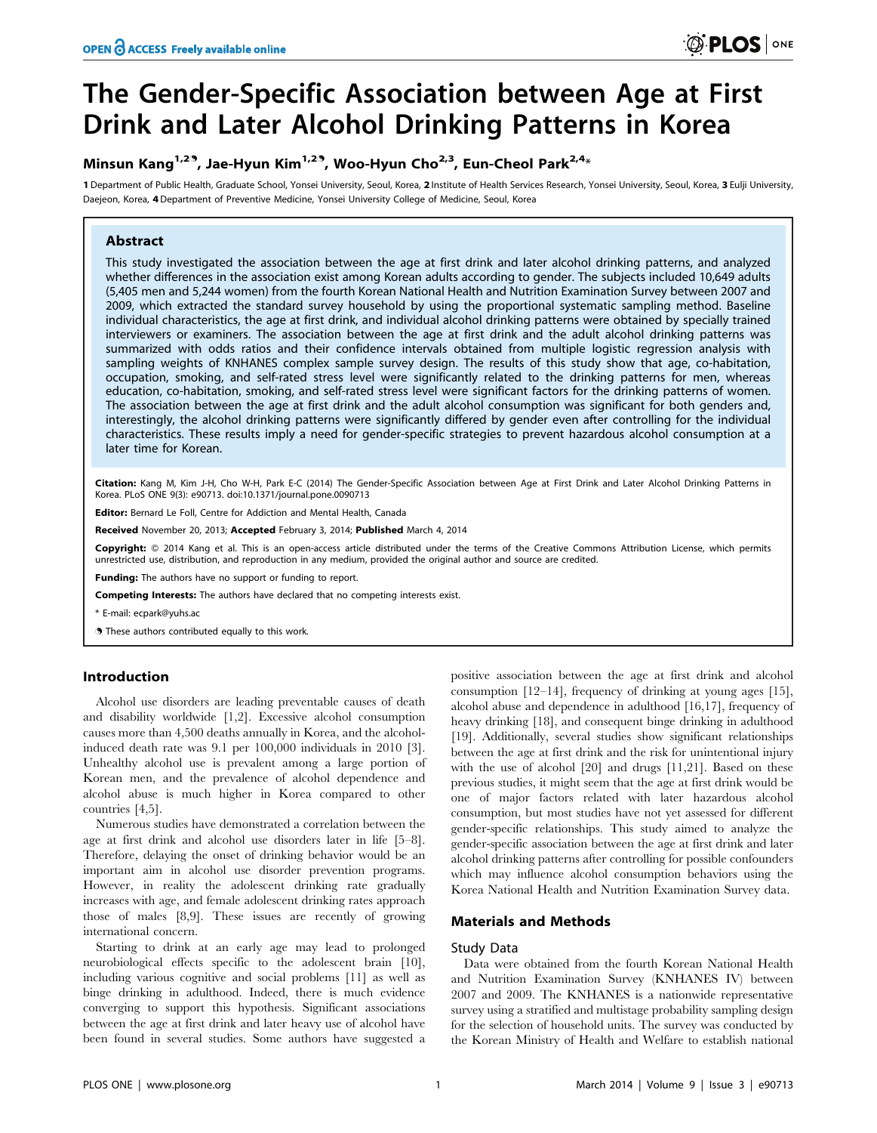# The Gender-Specific Association between Age at First Drink and Later Alcohol Drinking Patterns in Korea

# Minsun Kang<sup>1,2.9</sup>, Jae-Hyun Kim<sup>1,2.9</sup>, Woo-Hyun Cho<sup>2,3</sup>, Eun-Cheol Park<sup>2,4\*</sup>

1 Department of Public Health, Graduate School, Yonsei University, Seoul, Korea, 2 Institute of Health Services Research, Yonsei University, Seoul, Korea, 3 Eulii University, Daejeon, Korea, 4Department of Preventive Medicine, Yonsei University College of Medicine, Seoul, Korea

# Abstract

This study investigated the association between the age at first drink and later alcohol drinking patterns, and analyzed whether differences in the association exist among Korean adults according to gender. The subjects included 10,649 adults (5,405 men and 5,244 women) from the fourth Korean National Health and Nutrition Examination Survey between 2007 and 2009, which extracted the standard survey household by using the proportional systematic sampling method. Baseline individual characteristics, the age at first drink, and individual alcohol drinking patterns were obtained by specially trained interviewers or examiners. The association between the age at first drink and the adult alcohol drinking patterns was summarized with odds ratios and their confidence intervals obtained from multiple logistic regression analysis with sampling weights of KNHANES complex sample survey design. The results of this study show that age, co-habitation, occupation, smoking, and self-rated stress level were significantly related to the drinking patterns for men, whereas education, co-habitation, smoking, and self-rated stress level were significant factors for the drinking patterns of women. The association between the age at first drink and the adult alcohol consumption was significant for both genders and, interestingly, the alcohol drinking patterns were significantly differed by gender even after controlling for the individual characteristics. These results imply a need for gender-specific strategies to prevent hazardous alcohol consumption at a later time for Korean.

Citation: Kang M, Kim J-H, Cho W-H, Park E-C (2014) The Gender-Specific Association between Age at First Drink and Later Alcohol Drinking Patterns in Korea. PLoS ONE 9(3): e90713. doi:10.1371/journal.pone.0090713

Editor: Bernard Le Foll, Centre for Addiction and Mental Health, Canada

Received November 20, 2013; Accepted February 3, 2014; Published March 4, 2014

Copyright: © 2014 Kang et al. This is an open-access article distributed under the terms of the [Creative Commons Attribution License,](http://creativecommons.org/licenses/by/4.0/) which permits unrestricted use, distribution, and reproduction in any medium, provided the original author and source are credited.

Funding: The authors have no support or funding to report.

Competing Interests: The authors have declared that no competing interests exist.

\* E-mail: ecpark@yuhs.ac

. These authors contributed equally to this work.

# Introduction

Alcohol use disorders are leading preventable causes of death and disability worldwide [1,2]. Excessive alcohol consumption causes more than 4,500 deaths annually in Korea, and the alcoholinduced death rate was 9.1 per 100,000 individuals in 2010 [3]. Unhealthy alcohol use is prevalent among a large portion of Korean men, and the prevalence of alcohol dependence and alcohol abuse is much higher in Korea compared to other countries [4,5].

Numerous studies have demonstrated a correlation between the age at first drink and alcohol use disorders later in life [5–8]. Therefore, delaying the onset of drinking behavior would be an important aim in alcohol use disorder prevention programs. However, in reality the adolescent drinking rate gradually increases with age, and female adolescent drinking rates approach those of males [8,9]. These issues are recently of growing international concern.

Starting to drink at an early age may lead to prolonged neurobiological effects specific to the adolescent brain [10], including various cognitive and social problems [11] as well as binge drinking in adulthood. Indeed, there is much evidence converging to support this hypothesis. Significant associations between the age at first drink and later heavy use of alcohol have been found in several studies. Some authors have suggested a positive association between the age at first drink and alcohol consumption [12–14], frequency of drinking at young ages [15], alcohol abuse and dependence in adulthood [16,17], frequency of heavy drinking [18], and consequent binge drinking in adulthood [19]. Additionally, several studies show significant relationships between the age at first drink and the risk for unintentional injury with the use of alcohol [20] and drugs [11,21]. Based on these previous studies, it might seem that the age at first drink would be one of major factors related with later hazardous alcohol consumption, but most studies have not yet assessed for different gender-specific relationships. This study aimed to analyze the gender-specific association between the age at first drink and later alcohol drinking patterns after controlling for possible confounders which may influence alcohol consumption behaviors using the Korea National Health and Nutrition Examination Survey data.

# Materials and Methods

## Study Data

Data were obtained from the fourth Korean National Health and Nutrition Examination Survey (KNHANES IV) between 2007 and 2009. The KNHANES is a nationwide representative survey using a stratified and multistage probability sampling design for the selection of household units. The survey was conducted by the Korean Ministry of Health and Welfare to establish national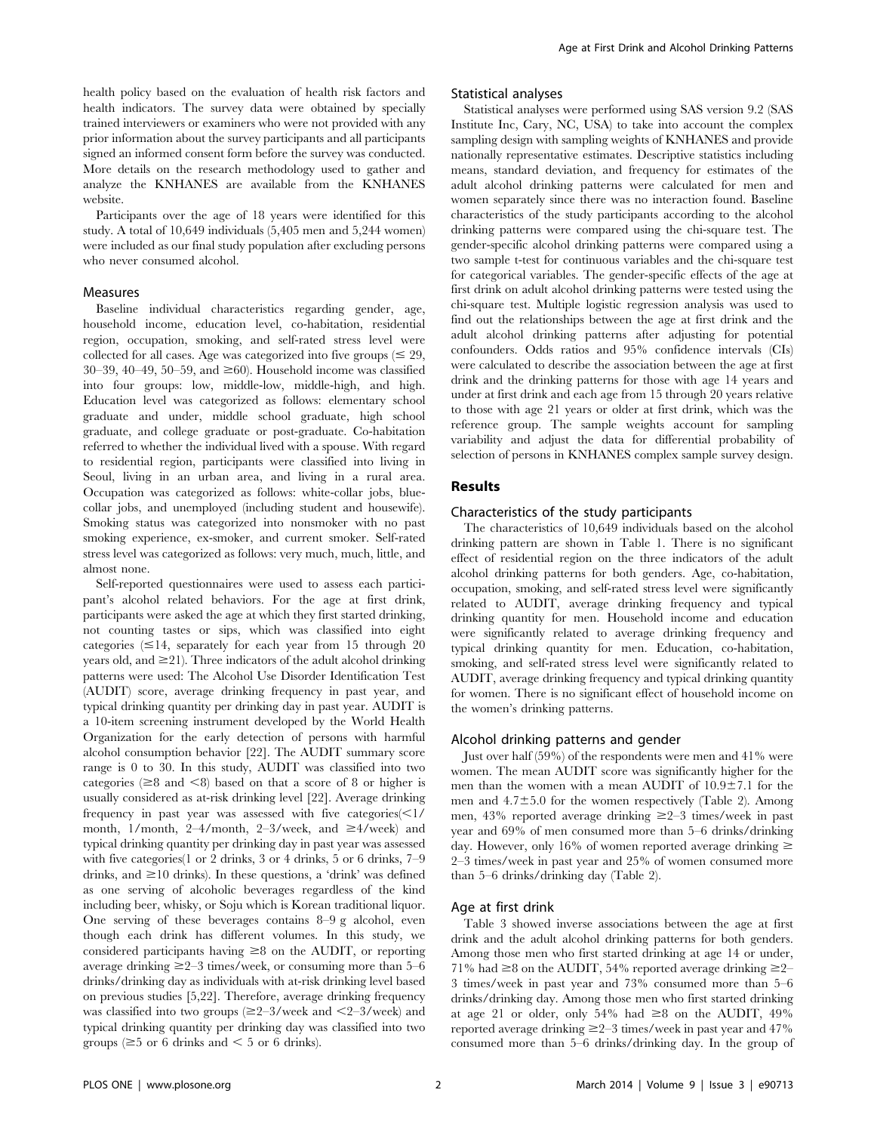health policy based on the evaluation of health risk factors and health indicators. The survey data were obtained by specially trained interviewers or examiners who were not provided with any prior information about the survey participants and all participants signed an informed consent form before the survey was conducted. More details on the research methodology used to gather and analyze the KNHANES are available from the KNHANES website.

Participants over the age of 18 years were identified for this study. A total of 10,649 individuals (5,405 men and 5,244 women) were included as our final study population after excluding persons who never consumed alcohol.

#### Measures

Baseline individual characteristics regarding gender, age, household income, education level, co-habitation, residential region, occupation, smoking, and self-rated stress level were collected for all cases. Age was categorized into five groups  $(\leq 29,$ 30–39, 40–49, 50–59, and  $\geq 60$ ). Household income was classified into four groups: low, middle-low, middle-high, and high. Education level was categorized as follows: elementary school graduate and under, middle school graduate, high school graduate, and college graduate or post-graduate. Co-habitation referred to whether the individual lived with a spouse. With regard to residential region, participants were classified into living in Seoul, living in an urban area, and living in a rural area. Occupation was categorized as follows: white-collar jobs, bluecollar jobs, and unemployed (including student and housewife). Smoking status was categorized into nonsmoker with no past smoking experience, ex-smoker, and current smoker. Self-rated stress level was categorized as follows: very much, much, little, and almost none.

Self-reported questionnaires were used to assess each participant's alcohol related behaviors. For the age at first drink, participants were asked the age at which they first started drinking, not counting tastes or sips, which was classified into eight categories  $\leq 14$ , separately for each year from 15 through 20 years old, and  $\geq$ 21). Three indicators of the adult alcohol drinking patterns were used: The Alcohol Use Disorder Identification Test (AUDIT) score, average drinking frequency in past year, and typical drinking quantity per drinking day in past year. AUDIT is a 10-item screening instrument developed by the World Health Organization for the early detection of persons with harmful alcohol consumption behavior [22]. The AUDIT summary score range is 0 to 30. In this study, AUDIT was classified into two categories ( $\geq 8$  and  $\leq 8$ ) based on that a score of 8 or higher is usually considered as at-risk drinking level [22]. Average drinking frequency in past year was assessed with five categories $\leq 1/$ month, 1/month, 2-4/month, 2-3/week, and  $\geq$ 4/week) and typical drinking quantity per drinking day in past year was assessed with five categories(1 or 2 drinks, 3 or 4 drinks, 5 or 6 drinks, 7–9 drinks, and  $\geq$ 10 drinks). In these questions, a 'drink' was defined as one serving of alcoholic beverages regardless of the kind including beer, whisky, or Soju which is Korean traditional liquor. One serving of these beverages contains 8–9 g alcohol, even though each drink has different volumes. In this study, we considered participants having  $\geq 8$  on the AUDIT, or reporting average drinking  $\geq 2-3$  times/week, or consuming more than 5–6 drinks/drinking day as individuals with at-risk drinking level based on previous studies [5,22]. Therefore, average drinking frequency was classified into two groups  $(\geq 2-3$ /week and  $\leq 2-3$ /week) and typical drinking quantity per drinking day was classified into two groups ( $\geq$ 5 or 6 drinks and  $\leq$  5 or 6 drinks).

#### Statistical analyses

Statistical analyses were performed using SAS version 9.2 (SAS Institute Inc, Cary, NC, USA) to take into account the complex sampling design with sampling weights of KNHANES and provide nationally representative estimates. Descriptive statistics including means, standard deviation, and frequency for estimates of the adult alcohol drinking patterns were calculated for men and women separately since there was no interaction found. Baseline characteristics of the study participants according to the alcohol drinking patterns were compared using the chi-square test. The gender-specific alcohol drinking patterns were compared using a two sample t-test for continuous variables and the chi-square test for categorical variables. The gender-specific effects of the age at first drink on adult alcohol drinking patterns were tested using the chi-square test. Multiple logistic regression analysis was used to find out the relationships between the age at first drink and the adult alcohol drinking patterns after adjusting for potential confounders. Odds ratios and 95% confidence intervals (CIs) were calculated to describe the association between the age at first drink and the drinking patterns for those with age 14 years and under at first drink and each age from 15 through 20 years relative to those with age 21 years or older at first drink, which was the reference group. The sample weights account for sampling variability and adjust the data for differential probability of selection of persons in KNHANES complex sample survey design.

# Results

# Characteristics of the study participants

The characteristics of 10,649 individuals based on the alcohol drinking pattern are shown in Table 1. There is no significant effect of residential region on the three indicators of the adult alcohol drinking patterns for both genders. Age, co-habitation, occupation, smoking, and self-rated stress level were significantly related to AUDIT, average drinking frequency and typical drinking quantity for men. Household income and education were significantly related to average drinking frequency and typical drinking quantity for men. Education, co-habitation, smoking, and self-rated stress level were significantly related to AUDIT, average drinking frequency and typical drinking quantity for women. There is no significant effect of household income on the women's drinking patterns.

#### Alcohol drinking patterns and gender

Just over half (59%) of the respondents were men and 41% were women. The mean AUDIT score was significantly higher for the men than the women with a mean AUDIT of  $10.9\pm7.1$  for the men and  $4.7\pm5.0$  for the women respectively (Table 2). Among men, 43% reported average drinking  $\geq 2-3$  times/week in past year and 69% of men consumed more than 5–6 drinks/drinking day. However, only 16% of women reported average drinking  $\geq$ 2–3 times/week in past year and 25% of women consumed more than 5–6 drinks/drinking day (Table 2).

#### Age at first drink

Table 3 showed inverse associations between the age at first drink and the adult alcohol drinking patterns for both genders. Among those men who first started drinking at age 14 or under, 71% had  $\geq$ 8 on the AUDIT, 54% reported average drinking  $\geq$ 2– 3 times/week in past year and 73% consumed more than 5–6 drinks/drinking day. Among those men who first started drinking at age 21 or older, only 54% had  $\geq 8$  on the AUDIT, 49% reported average drinking  $\geq$ 2–3 times/week in past year and 47% consumed more than 5–6 drinks/drinking day. In the group of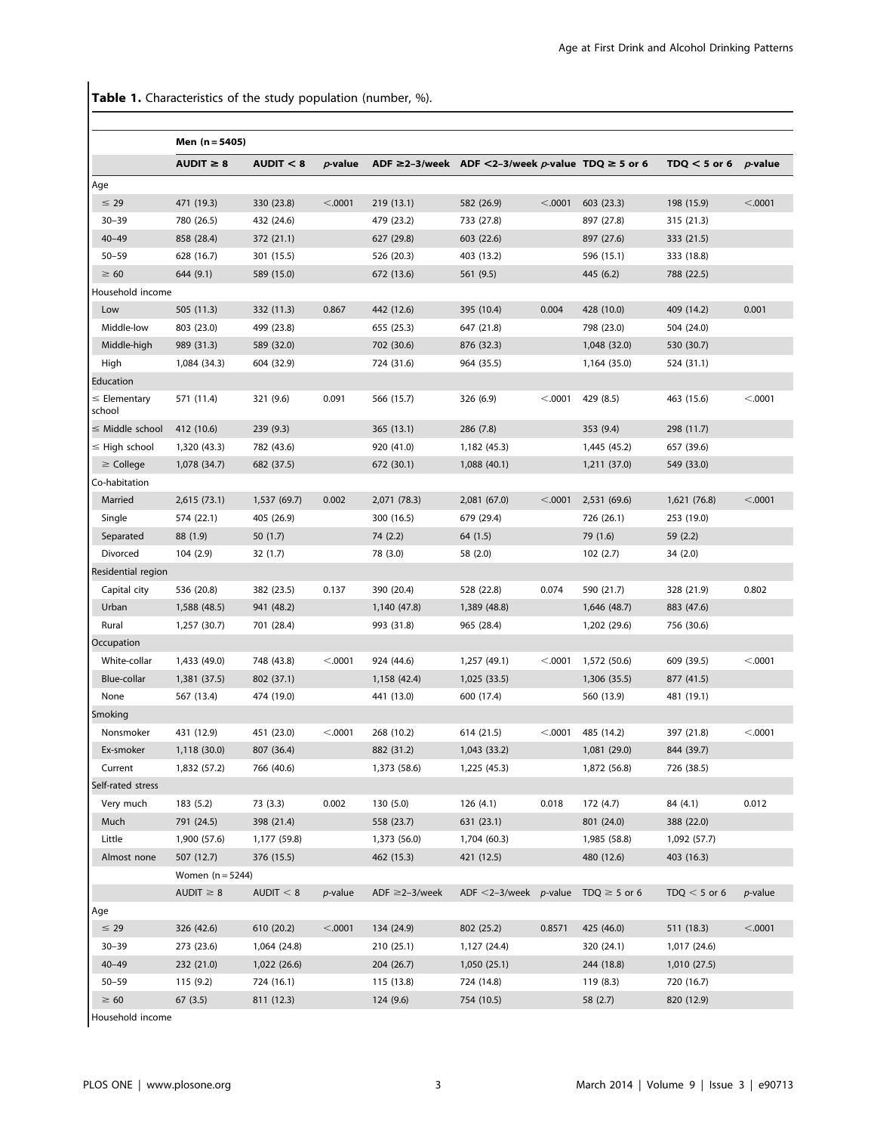Table 1. Characteristics of the study population (number, %).

|                             | Men (n = 5405)     |              |                 |                                                             |                             |         |                   |                           |            |
|-----------------------------|--------------------|--------------|-----------------|-------------------------------------------------------------|-----------------------------|---------|-------------------|---------------------------|------------|
|                             | AUDIT $\geq 8$     | AUDIT < 8    | $p$ -value      | ADF $\geq$ 2-3/week ADF <2-3/week p-value TDQ $\geq$ 5 or 6 |                             |         |                   | TDQ $<$ 5 or 6 $p$ -value |            |
| Age                         |                    |              |                 |                                                             |                             |         |                   |                           |            |
| $\leq 29$                   | 471 (19.3)         | 330 (23.8)   | < .0001         | 219 (13.1)                                                  | 582 (26.9)                  | < .0001 | 603 (23.3)        | 198 (15.9)                | < .0001    |
| $30 - 39$                   | 780 (26.5)         | 432 (24.6)   |                 | 479 (23.2)                                                  | 733 (27.8)                  |         | 897 (27.8)        | 315 (21.3)                |            |
| $40 - 49$                   | 858 (28.4)         | 372 (21.1)   |                 | 627 (29.8)                                                  | 603 (22.6)                  |         | 897 (27.6)        | 333 (21.5)                |            |
| $50 - 59$                   | 628 (16.7)         | 301 (15.5)   |                 | 526 (20.3)                                                  | 403 (13.2)                  |         | 596 (15.1)        | 333 (18.8)                |            |
| $\geq 60$                   | 644 (9.1)          | 589 (15.0)   |                 | 672 (13.6)                                                  | 561 (9.5)                   |         | 445 (6.2)         | 788 (22.5)                |            |
| Household income            |                    |              |                 |                                                             |                             |         |                   |                           |            |
| Low                         | 505 (11.3)         | 332 (11.3)   | 0.867           | 442 (12.6)                                                  | 395 (10.4)                  | 0.004   | 428 (10.0)        | 409 (14.2)                | 0.001      |
| Middle-low                  | 803 (23.0)         | 499 (23.8)   |                 | 655 (25.3)                                                  | 647 (21.8)                  |         | 798 (23.0)        | 504 (24.0)                |            |
| Middle-high                 | 989 (31.3)         | 589 (32.0)   |                 | 702 (30.6)                                                  | 876 (32.3)                  |         | 1,048 (32.0)      | 530 (30.7)                |            |
| High                        | 1,084 (34.3)       | 604 (32.9)   |                 | 724 (31.6)                                                  | 964 (35.5)                  |         | 1,164 (35.0)      | 524 (31.1)                |            |
| Education                   |                    |              |                 |                                                             |                             |         |                   |                           |            |
| $\leq$ Elementary<br>school | 571 (11.4)         | 321 (9.6)    | 0.091           | 566 (15.7)                                                  | 326 (6.9)                   | < .0001 | 429 (8.5)         | 463 (15.6)                | < .0001    |
| $\leq$ Middle school        | 412 (10.6)         | 239 (9.3)    |                 | 365 (13.1)                                                  | 286 (7.8)                   |         | 353 (9.4)         | 298 (11.7)                |            |
| $\leq$ High school          | 1,320 (43.3)       | 782 (43.6)   |                 | 920 (41.0)                                                  | 1,182 (45.3)                |         | 1,445 (45.2)      | 657 (39.6)                |            |
| $\geq$ College              | 1,078 (34.7)       | 682 (37.5)   |                 | 672 (30.1)                                                  | 1,088 (40.1)                |         | 1,211 (37.0)      | 549 (33.0)                |            |
| Co-habitation               |                    |              |                 |                                                             |                             |         |                   |                           |            |
| Married                     | 2,615 (73.1)       | 1,537 (69.7) | 0.002           | 2,071 (78.3)                                                | 2,081 (67.0)                | < .0001 | 2,531 (69.6)      | 1,621 (76.8)              | < .0001    |
| Single                      | 574 (22.1)         | 405 (26.9)   |                 | 300 (16.5)                                                  | 679 (29.4)                  |         | 726 (26.1)        | 253 (19.0)                |            |
| Separated                   | 88 (1.9)           | 50 (1.7)     |                 | 74 (2.2)                                                    | 64 (1.5)                    |         | 79 (1.6)          | 59 (2.2)                  |            |
| Divorced                    | 104(2.9)           | 32 (1.7)     |                 | 78 (3.0)                                                    | 58 (2.0)                    |         | 102(2.7)          | 34(2.0)                   |            |
| Residential region          |                    |              |                 |                                                             |                             |         |                   |                           |            |
| Capital city                | 536 (20.8)         | 382 (23.5)   | 0.137           | 390 (20.4)                                                  | 528 (22.8)                  | 0.074   | 590 (21.7)        | 328 (21.9)                | 0.802      |
| Urban                       | 1,588 (48.5)       | 941 (48.2)   |                 | 1,140 (47.8)                                                | 1,389 (48.8)                |         | 1,646 (48.7)      | 883 (47.6)                |            |
| Rural                       | 1,257 (30.7)       | 701 (28.4)   |                 | 993 (31.8)                                                  | 965 (28.4)                  |         | 1,202 (29.6)      | 756 (30.6)                |            |
| Occupation                  |                    |              |                 |                                                             |                             |         |                   |                           |            |
| White-collar                | 1,433 (49.0)       | 748 (43.8)   | < .0001         | 924 (44.6)                                                  | 1,257 (49.1)                | < 0.001 | 1,572 (50.6)      | 609 (39.5)                | < .0001    |
| Blue-collar                 | 1,381 (37.5)       | 802 (37.1)   |                 | 1,158 (42.4)                                                | 1,025(33.5)                 |         | 1,306 (35.5)      | 877 (41.5)                |            |
| None                        | 567 (13.4)         | 474 (19.0)   |                 | 441 (13.0)                                                  | 600 (17.4)                  |         | 560 (13.9)        | 481 (19.1)                |            |
| Smoking                     |                    |              |                 |                                                             |                             |         |                   |                           |            |
| Nonsmoker                   | 431 (12.9)         | 451 (23.0)   | < .0001         | 268 (10.2)                                                  | 614 (21.5)                  | < .0001 | 485 (14.2)        | 397 (21.8)                | < .0001    |
| Ex-smoker                   | 1,118 (30.0)       | 807 (36.4)   |                 | 882 (31.2)                                                  | 1,043 (33.2)                |         | 1,081 (29.0)      | 844 (39.7)                |            |
| Current                     | 1,832 (57.2)       | 766 (40.6)   |                 | 1,373 (58.6)                                                | 1,225 (45.3)                |         | 1,872 (56.8)      | 726 (38.5)                |            |
| Self-rated stress           |                    |              |                 |                                                             |                             |         |                   |                           |            |
| Very much                   | 183(5.2)           | 73 (3.3)     | 0.002           | 130(5.0)                                                    | 126(4.1)                    | 0.018   | 172 (4.7)         | 84 (4.1)                  | 0.012      |
| Much                        | 791 (24.5)         | 398 (21.4)   |                 | 558 (23.7)                                                  | 631 (23.1)                  |         | 801 (24.0)        | 388 (22.0)                |            |
| Little                      | 1,900 (57.6)       | 1,177 (59.8) |                 | 1,373 (56.0)                                                | 1,704 (60.3)                |         | 1,985 (58.8)      | 1,092 (57.7)              |            |
| Almost none                 | 507 (12.7)         | 376 (15.5)   |                 | 462 (15.3)                                                  | 421 (12.5)                  |         | 480 (12.6)        | 403 (16.3)                |            |
|                             | Women $(n = 5244)$ |              |                 |                                                             |                             |         |                   |                           |            |
|                             | AUDIT $\geq 8$     | AUDIT $< 8$  | <i>p</i> -value | ADF $\geq$ 2-3/week                                         | ADF $\leq$ 2-3/week p-value |         | TDQ $\geq$ 5 or 6 | $TDQ < 5$ or 6            | $p$ -value |
| Age                         |                    |              |                 |                                                             |                             |         |                   |                           |            |
| $\leq$ 29                   | 326 (42.6)         | 610 (20.2)   | < .0001         | 134 (24.9)                                                  | 802 (25.2)                  | 0.8571  | 425 (46.0)        | 511 (18.3)                | < .0001    |
| $30 - 39$                   | 273 (23.6)         | 1,064 (24.8) |                 | 210 (25.1)                                                  | 1,127 (24.4)                |         | 320 (24.1)        | 1,017 (24.6)              |            |
| $40 - 49$                   | 232 (21.0)         | 1,022 (26.6) |                 | 204 (26.7)                                                  | 1,050(25.1)                 |         | 244 (18.8)        | 1,010 (27.5)              |            |
| $50 - 59$                   | 115 (9.2)          | 724 (16.1)   |                 | 115 (13.8)                                                  | 724 (14.8)                  |         | 119 (8.3)         | 720 (16.7)                |            |
| $\geq 60$                   | 67(3.5)            | 811 (12.3)   |                 | 124 (9.6)                                                   | 754 (10.5)                  |         | 58 (2.7)          | 820 (12.9)                |            |

Household income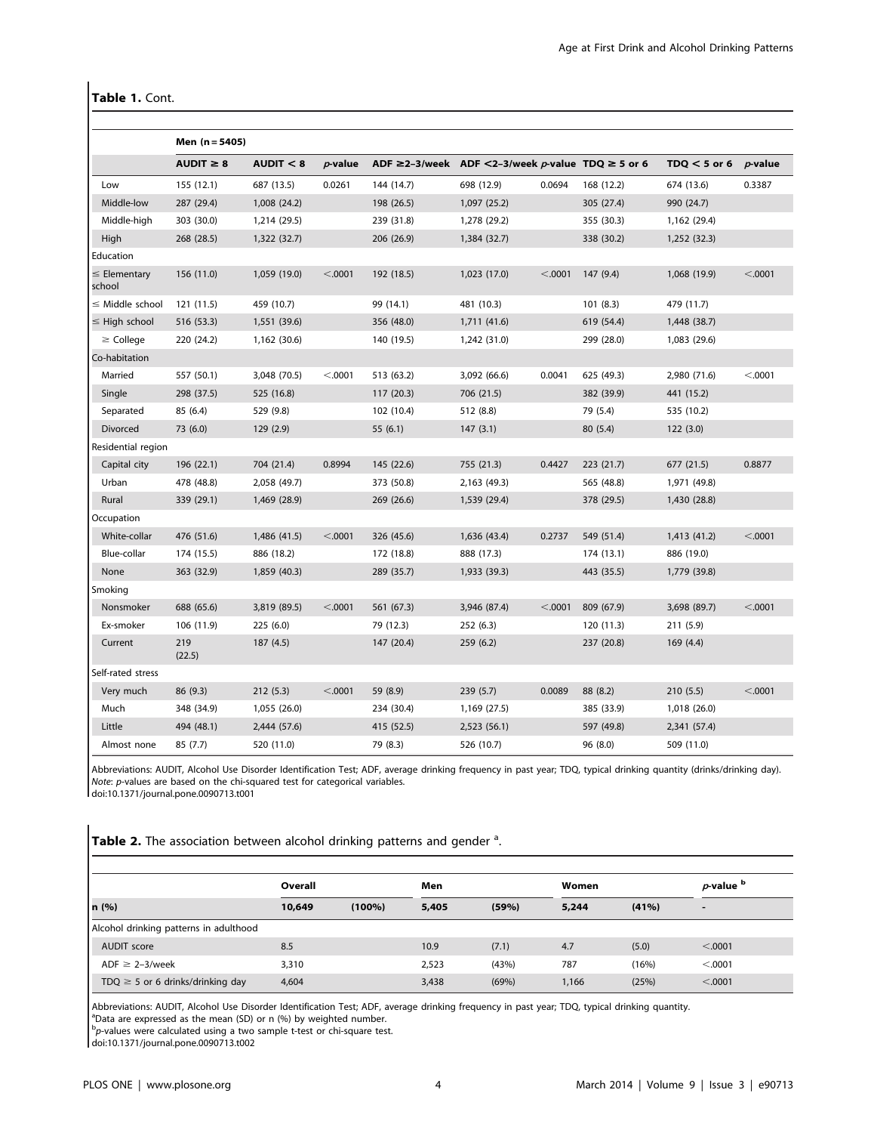# Table 1. Cont.

|                             | Men (n = 5405) |              |            |                                                             |              |         |            |                |            |
|-----------------------------|----------------|--------------|------------|-------------------------------------------------------------|--------------|---------|------------|----------------|------------|
|                             | $AUDIT \geq 8$ | AUDIT < 8    | $p$ -value | ADF $\geq$ 2-3/week ADF <2-3/week p-value TDQ $\geq$ 5 or 6 |              |         |            | $TOQ < 5$ or 6 | $p$ -value |
| Low                         | 155 (12.1)     | 687 (13.5)   | 0.0261     | 144 (14.7)                                                  | 698 (12.9)   | 0.0694  | 168 (12.2) | 674 (13.6)     | 0.3387     |
| Middle-low                  | 287 (29.4)     | 1,008 (24.2) |            | 198 (26.5)                                                  | 1,097 (25.2) |         | 305 (27.4) | 990 (24.7)     |            |
| Middle-high                 | 303 (30.0)     | 1,214 (29.5) |            | 239 (31.8)                                                  | 1,278 (29.2) |         | 355 (30.3) | 1,162 (29.4)   |            |
| High                        | 268 (28.5)     | 1,322 (32.7) |            | 206 (26.9)                                                  | 1,384 (32.7) |         | 338 (30.2) | 1,252 (32.3)   |            |
| Education                   |                |              |            |                                                             |              |         |            |                |            |
| $\leq$ Elementary<br>school | 156 (11.0)     | 1,059 (19.0) | < .0001    | 192 (18.5)                                                  | 1,023 (17.0) | < .0001 | 147 (9.4)  | 1,068 (19.9)   | < .0001    |
| $\leq$ Middle school        | 121 (11.5)     | 459 (10.7)   |            | 99 (14.1)                                                   | 481 (10.3)   |         | 101(8.3)   | 479 (11.7)     |            |
| $\leq$ High school          | 516 (53.3)     | 1,551 (39.6) |            | 356 (48.0)                                                  | 1,711 (41.6) |         | 619 (54.4) | 1,448 (38.7)   |            |
| $\geq$ College              | 220 (24.2)     | 1,162 (30.6) |            | 140 (19.5)                                                  | 1,242 (31.0) |         | 299 (28.0) | 1,083 (29.6)   |            |
| Co-habitation               |                |              |            |                                                             |              |         |            |                |            |
| Married                     | 557 (50.1)     | 3,048 (70.5) | < .0001    | 513 (63.2)                                                  | 3,092 (66.6) | 0.0041  | 625 (49.3) | 2,980 (71.6)   | < .0001    |
| Single                      | 298 (37.5)     | 525 (16.8)   |            | 117(20.3)                                                   | 706 (21.5)   |         | 382 (39.9) | 441 (15.2)     |            |
| Separated                   | 85 (6.4)       | 529 (9.8)    |            | 102 (10.4)                                                  | 512 (8.8)    |         | 79 (5.4)   | 535 (10.2)     |            |
| Divorced                    | 73 (6.0)       | 129 (2.9)    |            | 55(6.1)                                                     | 147(3.1)     |         | 80(5.4)    | 122(3.0)       |            |
| Residential region          |                |              |            |                                                             |              |         |            |                |            |
| Capital city                | 196 (22.1)     | 704 (21.4)   | 0.8994     | 145 (22.6)                                                  | 755 (21.3)   | 0.4427  | 223 (21.7) | 677 (21.5)     | 0.8877     |
| Urban                       | 478 (48.8)     | 2,058 (49.7) |            | 373 (50.8)                                                  | 2,163 (49.3) |         | 565 (48.8) | 1,971 (49.8)   |            |
| Rural                       | 339 (29.1)     | 1,469 (28.9) |            | 269 (26.6)                                                  | 1,539 (29.4) |         | 378 (29.5) | 1,430 (28.8)   |            |
| Occupation                  |                |              |            |                                                             |              |         |            |                |            |
| White-collar                | 476 (51.6)     | 1,486 (41.5) | < .0001    | 326 (45.6)                                                  | 1,636 (43.4) | 0.2737  | 549 (51.4) | 1,413 (41.2)   | < .0001    |
| Blue-collar                 | 174 (15.5)     | 886 (18.2)   |            | 172 (18.8)                                                  | 888 (17.3)   |         | 174 (13.1) | 886 (19.0)     |            |
| None                        | 363 (32.9)     | 1,859 (40.3) |            | 289 (35.7)                                                  | 1,933 (39.3) |         | 443 (35.5) | 1,779 (39.8)   |            |
| Smoking                     |                |              |            |                                                             |              |         |            |                |            |
| Nonsmoker                   | 688 (65.6)     | 3,819 (89.5) | < .0001    | 561 (67.3)                                                  | 3,946 (87.4) | < .0001 | 809 (67.9) | 3,698 (89.7)   | < .0001    |
| Ex-smoker                   | 106 (11.9)     | 225 (6.0)    |            | 79 (12.3)                                                   | 252 (6.3)    |         | 120 (11.3) | 211 (5.9)      |            |
| Current                     | 219<br>(22.5)  | 187 (4.5)    |            | 147 (20.4)                                                  | 259(6.2)     |         | 237 (20.8) | 169 (4.4)      |            |
| Self-rated stress           |                |              |            |                                                             |              |         |            |                |            |
| Very much                   | 86 (9.3)       | 212(5.3)     | < .0001    | 59 (8.9)                                                    | 239 (5.7)    | 0.0089  | 88 (8.2)   | 210(5.5)       | < .0001    |
| Much                        | 348 (34.9)     | 1,055 (26.0) |            | 234 (30.4)                                                  | 1,169 (27.5) |         | 385 (33.9) | 1,018 (26.0)   |            |
| Little                      | 494 (48.1)     | 2,444 (57.6) |            | 415 (52.5)                                                  | 2,523 (56.1) |         | 597 (49.8) | 2,341 (57.4)   |            |
| Almost none                 | 85 (7.7)       | 520 (11.0)   |            | 79 (8.3)                                                    | 526 (10.7)   |         | 96 (8.0)   | 509 (11.0)     |            |

Abbreviations: AUDIT, Alcohol Use Disorder Identification Test; ADF, average drinking frequency in past year; TDQ, typical drinking quantity (drinks/drinking day). Note: p-values are based on the chi-squared test for categorical variables.

doi:10.1371/journal.pone.0090713.t001

Table 2. The association between alcohol drinking patterns and gender <sup>a</sup>.

|                                        | Overall |           | Men   |       | Women |          | $p$ -value $b$ |  |
|----------------------------------------|---------|-----------|-------|-------|-------|----------|----------------|--|
| n (%)                                  | 10,649  | $(100\%)$ | 5,405 | (59%) | 5,244 | $(41\%)$ | -              |  |
| Alcohol drinking patterns in adulthood |         |           |       |       |       |          |                |  |
| AUDIT score                            | 8.5     |           | 10.9  | (7.1) | 4.7   | (5.0)    | < .0001        |  |
| ADF $\geq$ 2-3/week                    | 3,310   |           | 2.523 | (43%) | 787   | (16%)    | < 0.0001       |  |
| TDQ $\geq$ 5 or 6 drinks/drinking day  | 4,604   |           | 3,438 | (69%) | 1,166 | (25%)    | < 0.0001       |  |

Abbreviations: AUDIT, Alcohol Use Disorder Identification Test; ADF, average drinking frequency in past year; TDQ, typical drinking quantity.

<sup>a</sup>Data are expressed as the mean (SD) or n (%) by weighted number.

bp-values were calculated using a two sample t-test or chi-square test.

doi:10.1371/journal.pone.0090713.t002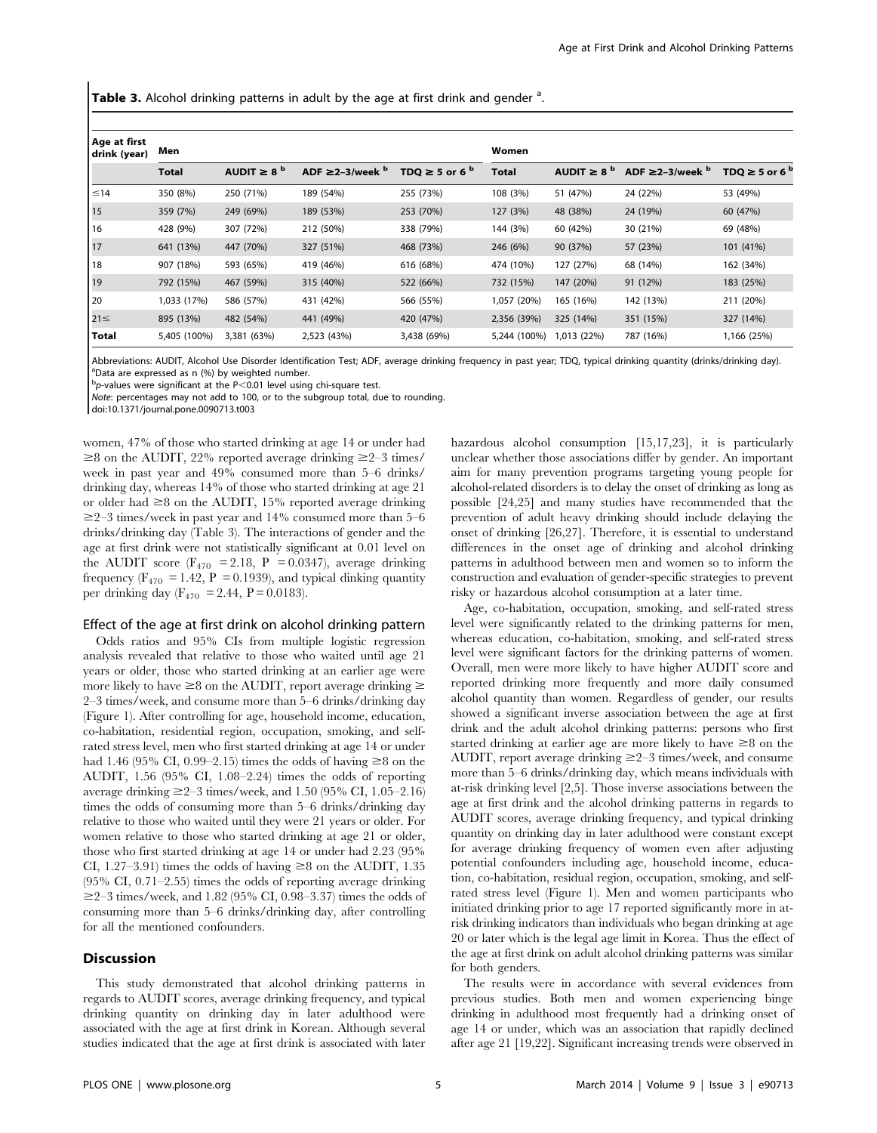Table 3. Alcohol drinking patterns in adult by the age at first drink and gender <sup>a</sup>.

| Age at first<br>drink (year) | Men          |                        |                                |                              | Women        |                        |                                |                                |  |  |
|------------------------------|--------------|------------------------|--------------------------------|------------------------------|--------------|------------------------|--------------------------------|--------------------------------|--|--|
|                              | <b>Total</b> | AUDIT $\geq 8^{\circ}$ | ADF $\geq$ 2-3/week $^{\rm b}$ | TDQ $\geq$ 5 or 6 $^{\rm b}$ | <b>Total</b> | AUDIT $\geq 8^{\circ}$ | ADF $\geq$ 2-3/week $^{\rm b}$ | TDQ $\geq$ 5 or 6 <sup>b</sup> |  |  |
| $\leq 14$                    | 350 (8%)     | 250 (71%)              | 189 (54%)                      | 255 (73%)                    | 108 (3%)     | 51 (47%)               | 24 (22%)                       | 53 (49%)                       |  |  |
| 15                           | 359 (7%)     | 249 (69%)              | 189 (53%)                      | 253 (70%)                    | 127 (3%)     | 48 (38%)               | 24 (19%)                       | 60 (47%)                       |  |  |
| 16                           | 428 (9%)     | 307 (72%)              | 212 (50%)                      | 338 (79%)                    | 144 (3%)     | 60 (42%)               | 30 (21%)                       | 69 (48%)                       |  |  |
| 17                           | 641 (13%)    | 447 (70%)              | 327 (51%)                      | 468 (73%)                    | 246 (6%)     | 90 (37%)               | 57 (23%)                       | 101 (41%)                      |  |  |
| 18                           | 907 (18%)    | 593 (65%)              | 419 (46%)                      | 616 (68%)                    | 474 (10%)    | 127 (27%)              | 68 (14%)                       | 162 (34%)                      |  |  |
| 19                           | 792 (15%)    | 467 (59%)              | 315 (40%)                      | 522 (66%)                    | 732 (15%)    | 147 (20%)              | 91 (12%)                       | 183 (25%)                      |  |  |
| 20                           | 1,033 (17%)  | 586 (57%)              | 431 (42%)                      | 566 (55%)                    | 1,057 (20%)  | 165 (16%)              | 142 (13%)                      | 211 (20%)                      |  |  |
| $21 \leq$                    | 895 (13%)    | 482 (54%)              | 441 (49%)                      | 420 (47%)                    | 2,356 (39%)  | 325 (14%)              | 351 (15%)                      | 327 (14%)                      |  |  |
| <b>Total</b>                 | 5,405 (100%) | 3,381 (63%)            | 2,523 (43%)                    | 3,438 (69%)                  | 5,244 (100%) | (22%) 013.             | 787 (16%)                      | 1,166 (25%)                    |  |  |

Abbreviations: AUDIT, Alcohol Use Disorder Identification Test; ADF, average drinking frequency in past year; TDQ, typical drinking quantity (drinks/drinking day). <sup>a</sup>Data are expressed as n (%) by weighted number.

 $^{\text{b}}$ p-values were significant at the P<0.01 level using chi-square test.

Note: percentages may not add to 100, or to the subgroup total, due to rounding.

doi:10.1371/journal.pone.0090713.t003

women, 47% of those who started drinking at age 14 or under had  $\geq$ 8 on the AUDIT, 22% reported average drinking  $\geq$ 2–3 times/ week in past year and 49% consumed more than 5–6 drinks/ drinking day, whereas 14% of those who started drinking at age 21 or older had  $\geq 8$  on the AUDIT, 15% reported average drinking  $\geq$ 2–3 times/week in past year and 14% consumed more than 5–6 drinks/drinking day (Table 3). The interactions of gender and the age at first drink were not statistically significant at 0.01 level on the AUDIT score ( $F_{470}$  = 2.18, P = 0.0347), average drinking frequency ( $F_{470}$  = 1.42, P = 0.1939), and typical dinking quantity per drinking day ( $F_{470}$  = 2.44, P = 0.0183).

#### Effect of the age at first drink on alcohol drinking pattern

Odds ratios and 95% CIs from multiple logistic regression analysis revealed that relative to those who waited until age 21 years or older, those who started drinking at an earlier age were more likely to have  $\geq 8$  on the AUDIT, report average drinking  $\geq$ 2–3 times/week, and consume more than 5–6 drinks/drinking day (Figure 1). After controlling for age, household income, education, co-habitation, residential region, occupation, smoking, and selfrated stress level, men who first started drinking at age 14 or under had 1.46 (95% CI, 0.99–2.15) times the odds of having  $\geq 8$  on the AUDIT, 1.56 (95% CI, 1.08–2.24) times the odds of reporting average drinking  $\geq 2-3$  times/week, and 1.50 (95% CI, 1.05–2.16) times the odds of consuming more than 5–6 drinks/drinking day relative to those who waited until they were 21 years or older. For women relative to those who started drinking at age 21 or older, those who first started drinking at age 14 or under had 2.23 (95% CI, 1.27–3.91) times the odds of having  $\geq 8$  on the AUDIT, 1.35 (95% CI, 0.71–2.55) times the odds of reporting average drinking  $\geq$ 2–3 times/week, and 1.82 (95% CI, 0.98–3.37) times the odds of consuming more than 5–6 drinks/drinking day, after controlling for all the mentioned confounders.

# Discussion

This study demonstrated that alcohol drinking patterns in regards to AUDIT scores, average drinking frequency, and typical drinking quantity on drinking day in later adulthood were associated with the age at first drink in Korean. Although several studies indicated that the age at first drink is associated with later

hazardous alcohol consumption [15,17,23], it is particularly unclear whether those associations differ by gender. An important aim for many prevention programs targeting young people for alcohol-related disorders is to delay the onset of drinking as long as possible [24,25] and many studies have recommended that the prevention of adult heavy drinking should include delaying the onset of drinking [26,27]. Therefore, it is essential to understand differences in the onset age of drinking and alcohol drinking patterns in adulthood between men and women so to inform the construction and evaluation of gender-specific strategies to prevent risky or hazardous alcohol consumption at a later time.

Age, co-habitation, occupation, smoking, and self-rated stress level were significantly related to the drinking patterns for men, whereas education, co-habitation, smoking, and self-rated stress level were significant factors for the drinking patterns of women. Overall, men were more likely to have higher AUDIT score and reported drinking more frequently and more daily consumed alcohol quantity than women. Regardless of gender, our results showed a significant inverse association between the age at first drink and the adult alcohol drinking patterns: persons who first started drinking at earlier age are more likely to have  $\geq 8$  on the AUDIT, report average drinking  $\geq 2-3$  times/week, and consume more than 5–6 drinks/drinking day, which means individuals with at-risk drinking level [2,5]. Those inverse associations between the age at first drink and the alcohol drinking patterns in regards to AUDIT scores, average drinking frequency, and typical drinking quantity on drinking day in later adulthood were constant except for average drinking frequency of women even after adjusting potential confounders including age, household income, education, co-habitation, residual region, occupation, smoking, and selfrated stress level (Figure 1). Men and women participants who initiated drinking prior to age 17 reported significantly more in atrisk drinking indicators than individuals who began drinking at age 20 or later which is the legal age limit in Korea. Thus the effect of the age at first drink on adult alcohol drinking patterns was similar for both genders.

The results were in accordance with several evidences from previous studies. Both men and women experiencing binge drinking in adulthood most frequently had a drinking onset of age 14 or under, which was an association that rapidly declined after age 21 [19,22]. Significant increasing trends were observed in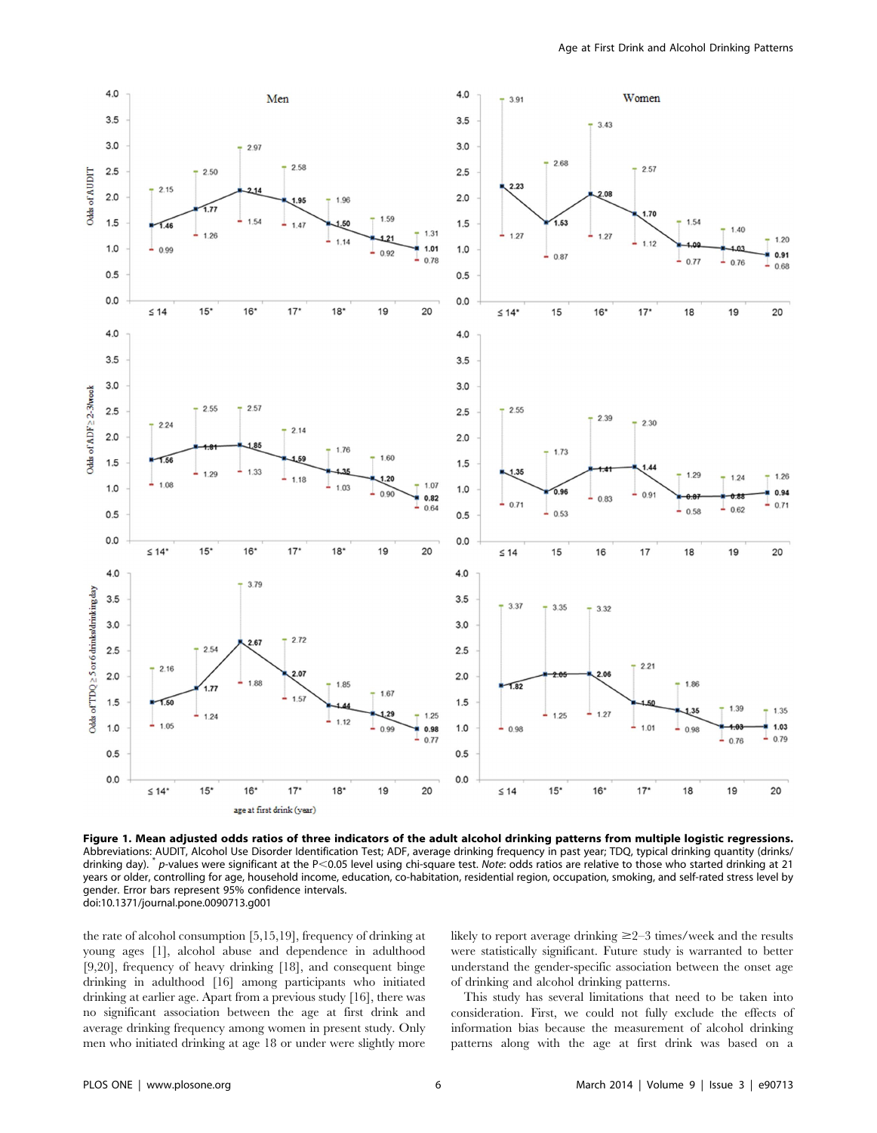

Figure 1. Mean adjusted odds ratios of three indicators of the adult alcohol drinking patterns from multiple logistic regressions. Abbreviations: AUDIT, Alcohol Use Disorder Identification Test; ADF, average drinking frequency in past year; TDQ, typical drinking quantity (drinks/ drinking day). \* p-values were significant at the P<0.05 level using chi-square test. Note: odds ratios are relative to those who started drinking at 21 years or older, controlling for age, household income, education, co-habitation, residential region, occupation, smoking, and self-rated stress level by gender. Error bars represent 95% confidence intervals. doi:10.1371/journal.pone.0090713.g001

the rate of alcohol consumption [5,15,19], frequency of drinking at young ages [1], alcohol abuse and dependence in adulthood [9,20], frequency of heavy drinking [18], and consequent binge drinking in adulthood [16] among participants who initiated drinking at earlier age. Apart from a previous study [16], there was no significant association between the age at first drink and average drinking frequency among women in present study. Only men who initiated drinking at age 18 or under were slightly more likely to report average drinking  $\geq 2-3$  times/week and the results were statistically significant. Future study is warranted to better understand the gender-specific association between the onset age of drinking and alcohol drinking patterns.

This study has several limitations that need to be taken into consideration. First, we could not fully exclude the effects of information bias because the measurement of alcohol drinking patterns along with the age at first drink was based on a